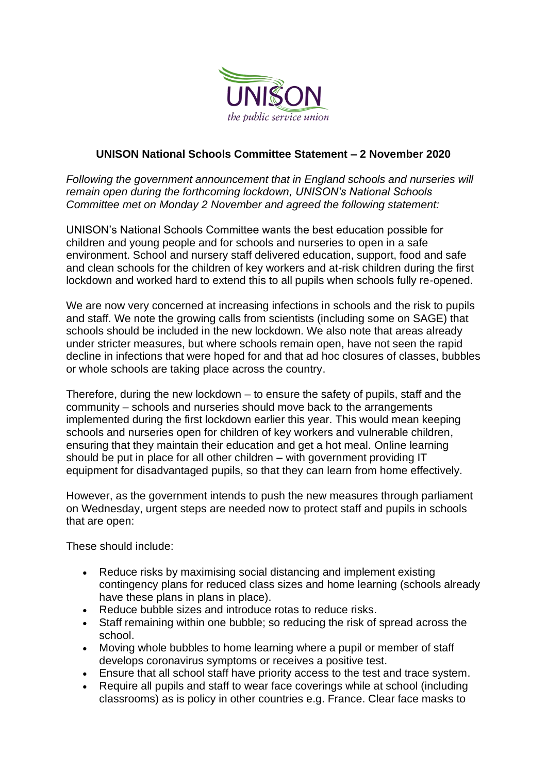

## **UNISON National Schools Committee Statement – 2 November 2020**

*Following the government announcement that in England schools and nurseries will remain open during the forthcoming lockdown, UNISON's National Schools Committee met on Monday 2 November and agreed the following statement:*

UNISON's National Schools Committee wants the best education possible for children and young people and for schools and nurseries to open in a safe environment. School and nursery staff delivered education, support, food and safe and clean schools for the children of key workers and at-risk children during the first lockdown and worked hard to extend this to all pupils when schools fully re-opened.

We are now very concerned at increasing infections in schools and the risk to pupils and staff. We note the growing calls from scientists (including some on SAGE) that schools should be included in the new lockdown. We also note that areas already under stricter measures, but where schools remain open, have not seen the rapid decline in infections that were hoped for and that ad hoc closures of classes, bubbles or whole schools are taking place across the country.

Therefore, during the new lockdown – to ensure the safety of pupils, staff and the community – schools and nurseries should move back to the arrangements implemented during the first lockdown earlier this year. This would mean keeping schools and nurseries open for children of key workers and vulnerable children, ensuring that they maintain their education and get a hot meal. Online learning should be put in place for all other children – with government providing IT equipment for disadvantaged pupils, so that they can learn from home effectively.

However, as the government intends to push the new measures through parliament on Wednesday, urgent steps are needed now to protect staff and pupils in schools that are open:

These should include:

- Reduce risks by maximising social distancing and implement existing contingency plans for reduced class sizes and home learning (schools already have these plans in plans in place).
- Reduce bubble sizes and introduce rotas to reduce risks.
- Staff remaining within one bubble; so reducing the risk of spread across the school.
- Moving whole bubbles to home learning where a pupil or member of staff develops coronavirus symptoms or receives a positive test.
- Ensure that all school staff have priority access to the test and trace system.
- Require all pupils and staff to wear face coverings while at school (including classrooms) as is policy in other countries e.g. France. Clear face masks to